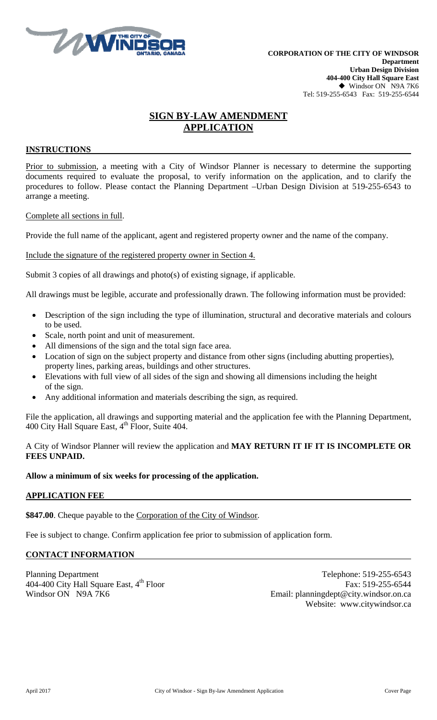

# **SIGN BY-LAW AMENDMENT APPLICATION**

### **INSTRUCTIONS**

Prior to submission, a meeting with a City of Windsor Planner is necessary to determine the supporting documents required to evaluate the proposal, to verify information on the application, and to clarify the procedures to follow. Please contact the Planning Department –Urban Design Division at 519-255-6543 to arrange a meeting.

### Complete all sections in full.

Provide the full name of the applicant, agent and registered property owner and the name of the company.

Include the signature of the registered property owner in Section 4.

Submit 3 copies of all drawings and photo(s) of existing signage, if applicable.

All drawings must be legible, accurate and professionally drawn. The following information must be provided:

- Description of the sign including the type of illumination, structural and decorative materials and colours to be used.
- Scale, north point and unit of measurement.
- All dimensions of the sign and the total sign face area.
- Location of sign on the subject property and distance from other signs (including abutting properties), property lines, parking areas, buildings and other structures.
- Elevations with full view of all sides of the sign and showing all dimensions including the height of the sign.
- Any additional information and materials describing the sign, as required.

File the application, all drawings and supporting material and the application fee with the Planning Department, 400 City Hall Square East, 4<sup>th</sup> Floor, Suite 404.

A City of Windsor Planner will review the application and **MAY RETURN IT IF IT IS INCOMPLETE OR FEES UNPAID.**

#### **Allow a minimum of six weeks for processing of the application.**

### **APPLICATION FEE**

**\$847.00**. Cheque payable to the Corporation of the City of Windsor.

Fee is subject to change. Confirm application fee prior to submission of application form.

## **CONTACT INFORMATION**

Planning Department Telephone: 519-255-6543 404-400 City Hall Square East, 4<sup>th</sup> Floor Fax: 519-255-6544<br>Windsor ON N9A 7K6 Fax: 519-255-6544 Email: planningdent@city.windsor.on.ca Email: planningdept@city.windsor.on.ca Website: www.citywindsor.ca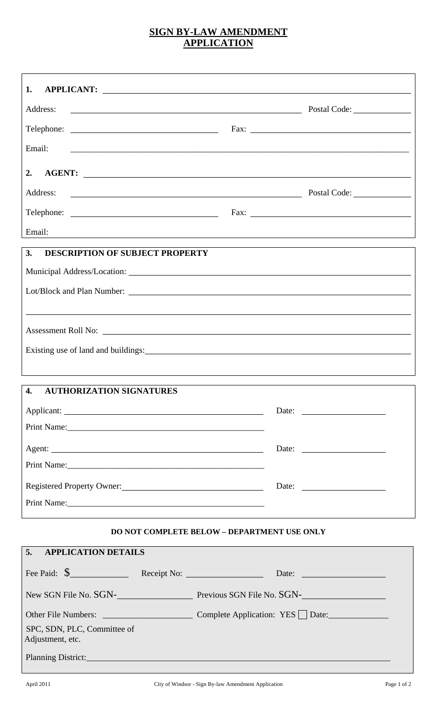# **SIGN BY-LAW AMENDMENT APPLICATION**

| 1.<br>APPLICANT:                                                                   |                                                                                  |
|------------------------------------------------------------------------------------|----------------------------------------------------------------------------------|
| Address:                                                                           |                                                                                  |
|                                                                                    | Fax: $\frac{1}{\sqrt{1-\frac{1}{2}}\left(\frac{1}{2}-\frac{1}{2}\right)}$        |
| Email:                                                                             |                                                                                  |
| 2.                                                                                 |                                                                                  |
| Address:<br><u> 1980 - Jan Samuel Barbara, margaret eta biztanleria (h. 1980).</u> | Postal Code:                                                                     |
|                                                                                    |                                                                                  |
| Email:                                                                             | ,我们也不会有什么。""我们的人,我们也不会有什么?""我们的人,我们也不会有什么?""我们的人,我们也不会有什么?""我们的人,我们也不会有什么?""我们的人 |
| <b>DESCRIPTION OF SUBJECT PROPERTY</b><br>3.                                       |                                                                                  |
|                                                                                    |                                                                                  |
|                                                                                    |                                                                                  |
|                                                                                    |                                                                                  |
|                                                                                    |                                                                                  |
| Existing use of land and buildings:                                                |                                                                                  |
|                                                                                    |                                                                                  |
| 4.<br><b>AUTHORIZATION SIGNATURES</b>                                              |                                                                                  |
|                                                                                    |                                                                                  |
| Print Name: 2008                                                                   |                                                                                  |
|                                                                                    |                                                                                  |
|                                                                                    |                                                                                  |
| Registered Property Owner:                                                         | Date: $\qquad \qquad$                                                            |
|                                                                                    |                                                                                  |
| <b>DO NOT COMPLETE BELOW - DEPARTMENT USE ONLY</b>                                 |                                                                                  |
| 5.<br><b>APPLICATION DETAILS</b>                                                   |                                                                                  |
| Fee Paid: \$ Receipt No: Date: Date:                                               |                                                                                  |
| New SGN File No. SGN-<br>Previous SGN File No. SGN-                                |                                                                                  |
|                                                                                    |                                                                                  |
| SPC, SDN, PLC, Committee of<br>Adjustment, etc.                                    |                                                                                  |
|                                                                                    |                                                                                  |
|                                                                                    |                                                                                  |

 $\Gamma$